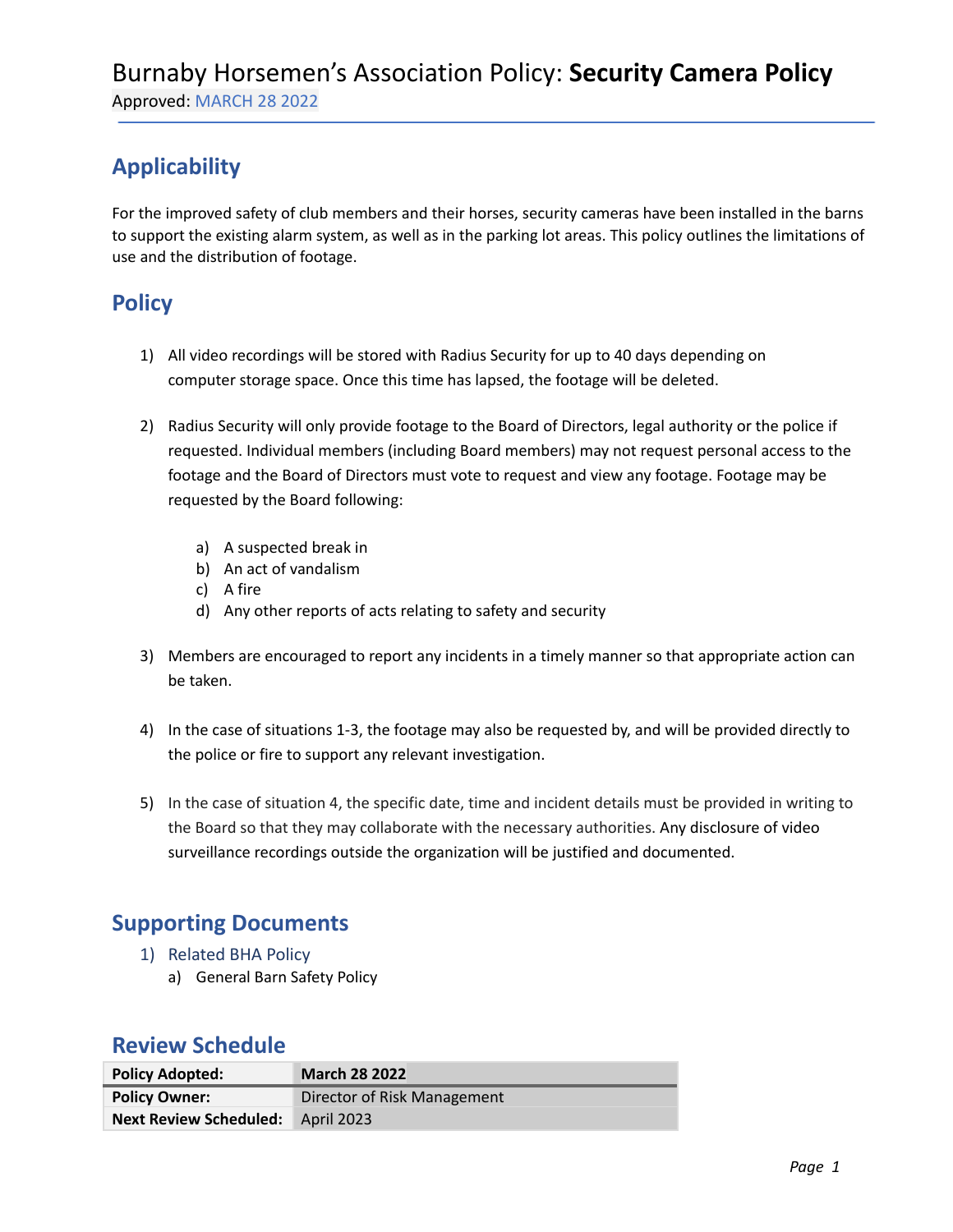## **Applicability**

For the improved safety of club members and their horses, security cameras have been installed in the barns to support the existing alarm system, as well as in the parking lot areas. This policy outlines the limitations of use and the distribution of footage.

### **Policy**

- 1) All video recordings will be stored with Radius Security for up to 40 days depending on computer storage space. Once this time has lapsed, the footage will be deleted.
- 2) Radius Security will only provide footage to the Board of Directors, legal authority or the police if requested. Individual members (including Board members) may not request personal access to the footage and the Board of Directors must vote to request and view any footage. Footage may be requested by the Board following:
	- a) A suspected break in
	- b) An act of vandalism
	- c) A fire
	- d) Any other reports of acts relating to safety and security
- 3) Members are encouraged to report any incidents in a timely manner so that appropriate action can be taken.
- 4) In the case of situations 1-3, the footage may also be requested by, and will be provided directly to the police or fire to support any relevant investigation.
- 5) In the case of situation 4, the specific date, time and incident details must be provided in writing to the Board so that they may collaborate with the necessary authorities. Any disclosure of video surveillance recordings outside the organization will be justified and documented.

#### **Supporting Documents**

- 1) Related BHA Policy
	- a) General Barn Safety Policy

#### **Review Schedule**

| <b>Policy Adopted:</b>            | <b>March 28 2022</b>        |
|-----------------------------------|-----------------------------|
| <b>Policy Owner:</b>              | Director of Risk Management |
| Next Review Scheduled: April 2023 |                             |